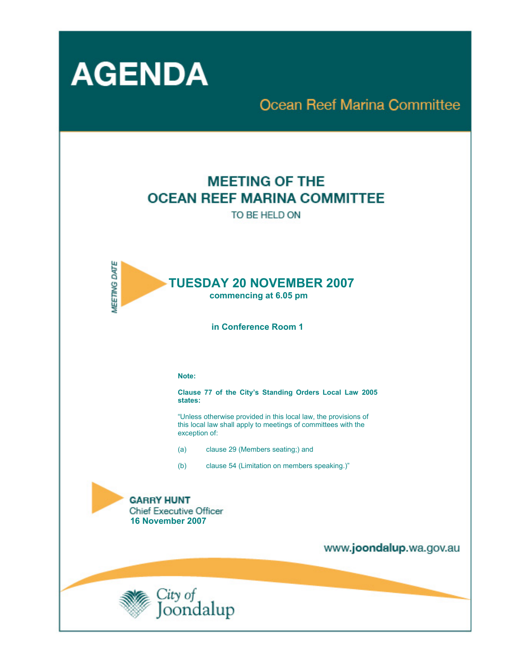

# **Ocean Reef Marina Committee**

## **MEETING OF THE OCEAN REEF MARINA COMMITTEE**

TO BE HELD ON



 **in Conference Room 1** 

#### **Note:**

**Clause 77 of the City's Standing Orders Local Law 2005 states:** 

"Unless otherwise provided in this local law, the provisions of this local law shall apply to meetings of committees with the exception of:

- (a) clause 29 (Members seating;) and
- (b) clause 54 (Limitation on members speaking.)"



www.joondalup.wa.gov.au

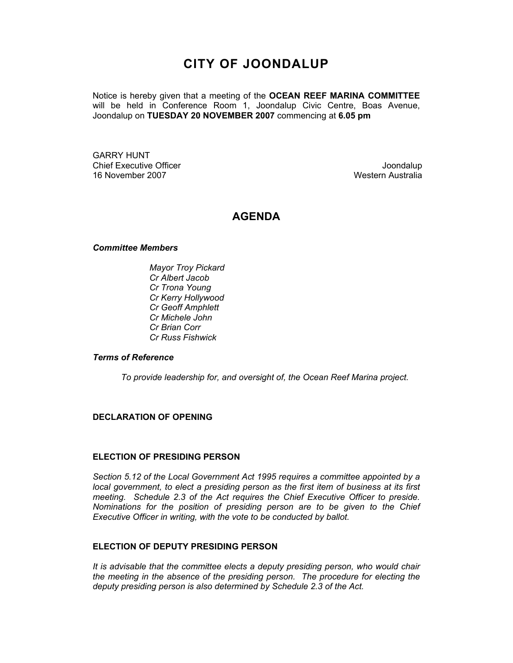### **CITY OF JOONDALUP**

Notice is hereby given that a meeting of the **OCEAN REEF MARINA COMMITTEE**  will be held in Conference Room 1, Joondalup Civic Centre, Boas Avenue, Joondalup on **TUESDAY 20 NOVEMBER 2007** commencing at **6.05 pm** 

GARRY HUNT Chief Executive Officer **Chief Executive Officer** Joondalup 16 November 2007 Western Australia

### **AGENDA**

#### *Committee Members*

*Mayor Troy Pickard Cr Albert Jacob Cr Trona Young Cr Kerry Hollywood Cr Geoff Amphlett Cr Michele John Cr Brian Corr Cr Russ Fishwick* 

#### *Terms of Reference*

*To provide leadership for, and oversight of, the Ocean Reef Marina project.*

#### **DECLARATION OF OPENING**

#### **ELECTION OF PRESIDING PERSON**

*Section 5.12 of the Local Government Act 1995 requires a committee appointed by a local government, to elect a presiding person as the first item of business at its first meeting. Schedule 2.3 of the Act requires the Chief Executive Officer to preside. Nominations for the position of presiding person are to be given to the Chief Executive Officer in writing, with the vote to be conducted by ballot.* 

#### **ELECTION OF DEPUTY PRESIDING PERSON**

*It is advisable that the committee elects a deputy presiding person, who would chair the meeting in the absence of the presiding person. The procedure for electing the deputy presiding person is also determined by Schedule 2.3 of the Act.*